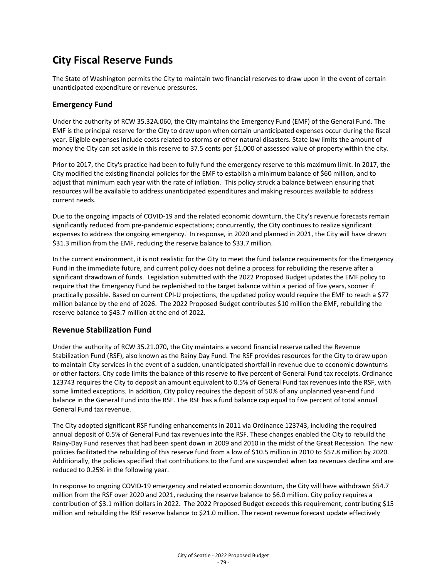## **City Fiscal Reserve Funds**

The State of Washington permits the City to maintain two financial reserves to draw upon in the event of certain unanticipated expenditure or revenue pressures.

## **Emergency Fund**

Under the authority of RCW 35.32A.060, the City maintains the Emergency Fund (EMF) of the General Fund. The EMF is the principal reserve for the City to draw upon when certain unanticipated expenses occur during the fiscal year. Eligible expenses include costs related to storms or other natural disasters. State law limits the amount of money the City can set aside in this reserve to 37.5 cents per \$1,000 of assessed value of property within the city.

Prior to 2017, the City's practice had been to fully fund the emergency reserve to this maximum limit. In 2017, the City modified the existing financial policies for the EMF to establish a minimum balance of \$60 million, and to adjust that minimum each year with the rate of inflation. This policy struck a balance between ensuring that resources will be available to address unanticipated expenditures and making resources available to address current needs.

Due to the ongoing impacts of COVID-19 and the related economic downturn, the City's revenue forecasts remain significantly reduced from pre-pandemic expectations; concurrently, the City continues to realize significant expenses to address the ongoing emergency. In response, in 2020 and planned in 2021, the City will have drawn \$31.3 million from the EMF, reducing the reserve balance to \$33.7 million.

In the current environment, it is not realistic for the City to meet the fund balance requirements for the Emergency Fund in the immediate future, and current policy does not define a process for rebuilding the reserve after a significant drawdown of funds. Legislation submitted with the 2022 Proposed Budget updates the EMF policy to require that the Emergency Fund be replenished to the target balance within a period of five years, sooner if practically possible. Based on current CPI-U projections, the updated policy would require the EMF to reach a \$77 million balance by the end of 2026. The 2022 Proposed Budget contributes \$10 million the EMF, rebuilding the reserve balance to \$43.7 million at the end of 2022.

## **Revenue Stabilization Fund**

Under the authority of RCW 35.21.070, the City maintains a second financial reserve called the Revenue Stabilization Fund (RSF), also known as the Rainy Day Fund. The RSF provides resources for the City to draw upon to maintain City services in the event of a sudden, unanticipated shortfall in revenue due to economic downturns or other factors. City code limits the balance of this reserve to five percent of General Fund tax receipts. Ordinance 123743 requires the City to deposit an amount equivalent to 0.5% of General Fund tax revenues into the RSF, with some limited exceptions. In addition, City policy requires the deposit of 50% of any unplanned year-end fund balance in the General Fund into the RSF. The RSF has a fund balance cap equal to five percent of total annual General Fund tax revenue.

The City adopted significant RSF funding enhancements in 2011 via Ordinance 123743, including the required annual deposit of 0.5% of General Fund tax revenues into the RSF. These changes enabled the City to rebuild the Rainy-Day Fund reserves that had been spent down in 2009 and 2010 in the midst of the Great Recession. The new policies facilitated the rebuilding of this reserve fund from a low of \$10.5 million in 2010 to \$57.8 million by 2020. Additionally, the policies specified that contributions to the fund are suspended when tax revenues decline and are reduced to 0.25% in the following year.

In response to ongoing COVID-19 emergency and related economic downturn, the City will have withdrawn \$54.7 million from the RSF over 2020 and 2021, reducing the reserve balance to \$6.0 million. City policy requires a contribution of \$3.1 million dollars in 2022. The 2022 Proposed Budget exceeds this requirement, contributing \$15 million and rebuilding the RSF reserve balance to \$21.0 million. The recent revenue forecast update effectively